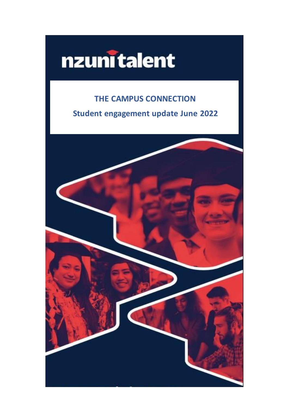# nzunitalent

# THE CAMPUS CONNECTION

Student engagement update June 2022

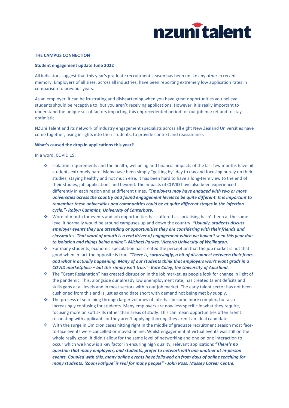

## **THE CAMPUS CONNECTION**

#### **Student engagement update June 2022**

All indicators suggest that this year's graduate recruitment season has been unlike any other in recent memory. Employers of all sizes, across all industries, have been reporting extremely low application rates in comparison to previous years.

As an employer, it can be frustrating and disheartening when you have great opportunities you believe students should be receptive to, but you aren't receiving applications. However, it is really important to understand the unique set of factors impacting this unprecedented period for our job market and to stay optimistic.

NZUni Talent and its network of industry engagement specialists across all eight New Zealand Universities have come together, using insights into their students, to provide context and reassurance.

#### What's caused the drop in applications this year?

In a word, COVID 19.

- ❖ Isolation requirements and the health, wellbeing and financial impacts of the last few months have hit students extremely hard. Many have been simply "getting by" day to day and focusing purely on their studies, staying healthy and not much else. It has been hard to have a long-term view to the end of their studies, job applications and beyond. The impacts of COVID have also been experienced differently in each region and at different times. *"Employers may have engaged with two or more universities across the country and found engagement levels to be quite different. It is important to remember these universities and communities could be at quite different stages in the infection cycle."- Robyn Cummins, University of Canterbury.*
- ❖ Word of mouth for events and job opportunities has suffered as socialising hasn't been at the same level it normally would be around campuses up and down the country. *"Usually, students discuss employer events they are attending or opportunities they are considering with their friends and classmates. That word of mouth is a real driver of engagement which we haven't seen this year due to isolation and things being online"- Michael Parkes, Victoria University of Wellington.*
- ❖ For many students, economic speculation has created the perception that the job market is not that good when in fact the opposite is true. *"There is, surprisingly, a bit of disconnect between their fears and what is actually happening. Many of our students think that employers won't want grads in a COVID marketplace – but this simply isn't true."- Kate Coley, the University of Auckland.*
- ❖ The "Great Resignation" has created disruption in the job market, as people look for change in light of the pandemic. This, alongside our already low unemployment rate, has created talent deficits and skills gaps at all levels and in most sectors within our job market. The early talent sector has not been cushioned from this and is just as candidate short with demand not being met by supply.
- ❖ The process of searching through larger volumes of jobs has become more complex, but also increasingly confusing for students. Many employers are now less specific in what they require, focusing more on soft skills rather than areas of study. This can mean opportunities often aren't resonating with applicants or they aren't applying thinking they aren't an ideal candidate.
- ❖ With the surge in Omicron cases hitting right in the middle of graduate recruitment season most faceto-face events were cancelled or moved online. Whilst engagement at virtual events was still on the whole really good, it didn't allow for the same level of networking and one on one interaction to occur which we know is a key factor in ensuring high quality, relevant applications *"There's no question that many employers, and students, prefer to network with one another at in-person events. Coupled with this, many online events have followed on from days of online teaching for many students. 'Zoom Fatigue' is real for many people" - John Ross, Massey Career Centre.*